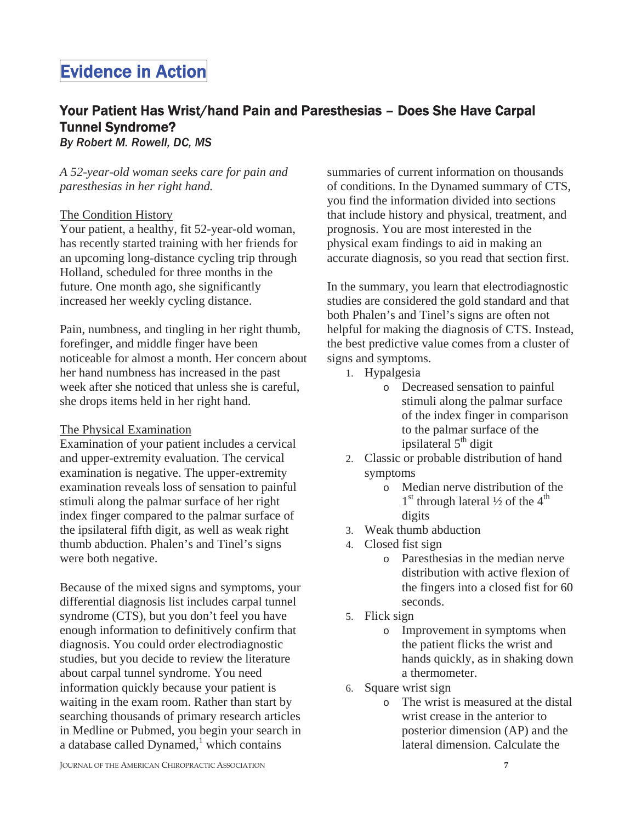# Evidence in Action

# Your Patient Has Wrist/hand Pain and Paresthesias – Does She Have Carpal Tunnel Syndrome?

*By Robert M. Rowell, DC, MS*

*A 52-year-old woman seeks care for pain and paresthesias in her right hand.* 

### The Condition History

Your patient, a healthy, fit 52-year-old woman, has recently started training with her friends for an upcoming long-distance cycling trip through Holland, scheduled for three months in the future. One month ago, she significantly increased her weekly cycling distance.

Pain, numbness, and tingling in her right thumb, forefinger, and middle finger have been noticeable for almost a month. Her concern about her hand numbness has increased in the past week after she noticed that unless she is careful, she drops items held in her right hand.

## The Physical Examination

Examination of your patient includes a cervical and upper-extremity evaluation. The cervical examination is negative. The upper-extremity examination reveals loss of sensation to painful stimuli along the palmar surface of her right index finger compared to the palmar surface of the ipsilateral fifth digit, as well as weak right thumb abduction. Phalen's and Tinel's signs were both negative.

Because of the mixed signs and symptoms, your differential diagnosis list includes carpal tunnel syndrome (CTS), but you don't feel you have enough information to definitively confirm that diagnosis. You could order electrodiagnostic studies, but you decide to review the literature about carpal tunnel syndrome. You need information quickly because your patient is waiting in the exam room. Rather than start by searching thousands of primary research articles in Medline or Pubmed, you begin your search in a database called Dynamed, $\frac{1}{1}$  which contains

summaries of current information on thousands of conditions. In the Dynamed summary of CTS, you find the information divided into sections that include history and physical, treatment, and prognosis. You are most interested in the physical exam findings to aid in making an accurate diagnosis, so you read that section first.

In the summary, you learn that electrodiagnostic studies are considered the gold standard and that both Phalen's and Tinel's signs are often not helpful for making the diagnosis of CTS. Instead, the best predictive value comes from a cluster of signs and symptoms.

- 1. Hypalgesia
	- o Decreased sensation to painful stimuli along the palmar surface of the index finger in comparison to the palmar surface of the ipsilateral 5<sup>th</sup> digit
- 2. Classic or probable distribution of hand symptoms
	- o Median nerve distribution of the  $1<sup>st</sup>$  through lateral  $\frac{1}{2}$  of the  $4<sup>th</sup>$ digits
- 3. Weak thumb abduction
- 4. Closed fist sign
	- o Paresthesias in the median nerve distribution with active flexion of the fingers into a closed fist for 60 seconds.
- 5. Flick sign
	- o Improvement in symptoms when the patient flicks the wrist and hands quickly, as in shaking down a thermometer.
- 6. Square wrist sign
	- o The wrist is measured at the distal wrist crease in the anterior to posterior dimension (AP) and the lateral dimension. Calculate the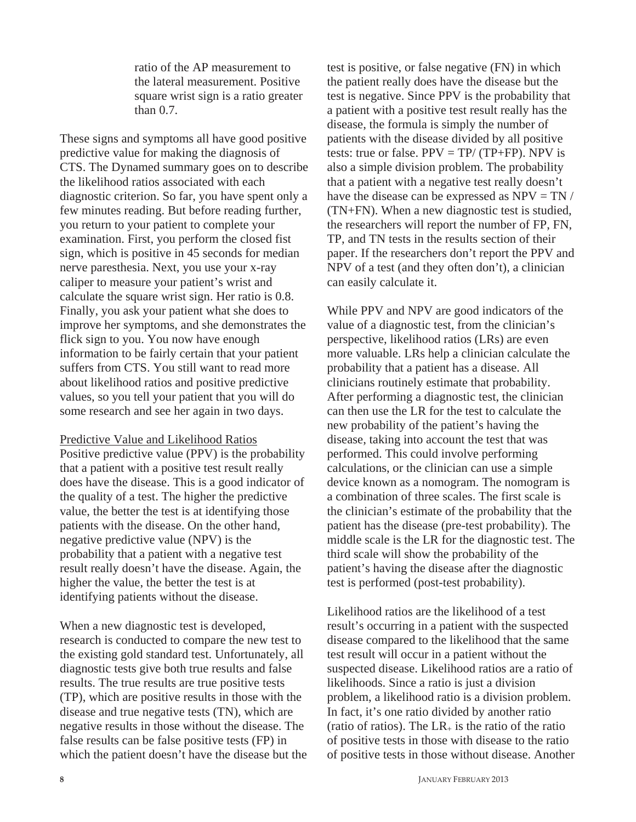ratio of the AP measurement to the lateral measurement. Positive square wrist sign is a ratio greater than 0.7.

These signs and symptoms all have good positive predictive value for making the diagnosis of CTS. The Dynamed summary goes on to describe the likelihood ratios associated with each diagnostic criterion. So far, you have spent only a few minutes reading. But before reading further, you return to your patient to complete your examination. First, you perform the closed fist sign, which is positive in 45 seconds for median nerve paresthesia. Next, you use your x-ray caliper to measure your patient's wrist and calculate the square wrist sign. Her ratio is 0.8. Finally, you ask your patient what she does to improve her symptoms, and she demonstrates the flick sign to you. You now have enough information to be fairly certain that your patient suffers from CTS. You still want to read more about likelihood ratios and positive predictive values, so you tell your patient that you will do some research and see her again in two days.

Predictive Value and Likelihood Ratios

Positive predictive value (PPV) is the probability that a patient with a positive test result really does have the disease. This is a good indicator of the quality of a test. The higher the predictive value, the better the test is at identifying those patients with the disease. On the other hand, negative predictive value (NPV) is the probability that a patient with a negative test result really doesn't have the disease. Again, the higher the value, the better the test is at identifying patients without the disease.

When a new diagnostic test is developed, research is conducted to compare the new test to the existing gold standard test. Unfortunately, all diagnostic tests give both true results and false results. The true results are true positive tests (TP), which are positive results in those with the disease and true negative tests (TN), which are negative results in those without the disease. The false results can be false positive tests (FP) in which the patient doesn't have the disease but the test is positive, or false negative (FN) in which the patient really does have the disease but the test is negative. Since PPV is the probability that a patient with a positive test result really has the disease, the formula is simply the number of patients with the disease divided by all positive tests: true or false.  $PPV = TP/(TP+FP)$ . NPV is also a simple division problem. The probability that a patient with a negative test really doesn't have the disease can be expressed as  $NPV = TN /$ (TN+FN). When a new diagnostic test is studied, the researchers will report the number of FP, FN, TP, and TN tests in the results section of their paper. If the researchers don't report the PPV and NPV of a test (and they often don't), a clinician can easily calculate it.

While PPV and NPV are good indicators of the value of a diagnostic test, from the clinician's perspective, likelihood ratios (LRs) are even more valuable. LRs help a clinician calculate the probability that a patient has a disease. All clinicians routinely estimate that probability. After performing a diagnostic test, the clinician can then use the LR for the test to calculate the new probability of the patient's having the disease, taking into account the test that was performed. This could involve performing calculations, or the clinician can use a simple device known as a nomogram. The nomogram is a combination of three scales. The first scale is the clinician's estimate of the probability that the patient has the disease (pre-test probability). The middle scale is the LR for the diagnostic test. The third scale will show the probability of the patient's having the disease after the diagnostic test is performed (post-test probability).

Likelihood ratios are the likelihood of a test result's occurring in a patient with the suspected disease compared to the likelihood that the same test result will occur in a patient without the suspected disease. Likelihood ratios are a ratio of likelihoods. Since a ratio is just a division problem, a likelihood ratio is a division problem. In fact, it's one ratio divided by another ratio (ratio of ratios). The  $LR_{+}$  is the ratio of the ratio of positive tests in those with disease to the ratio of positive tests in those without disease. Another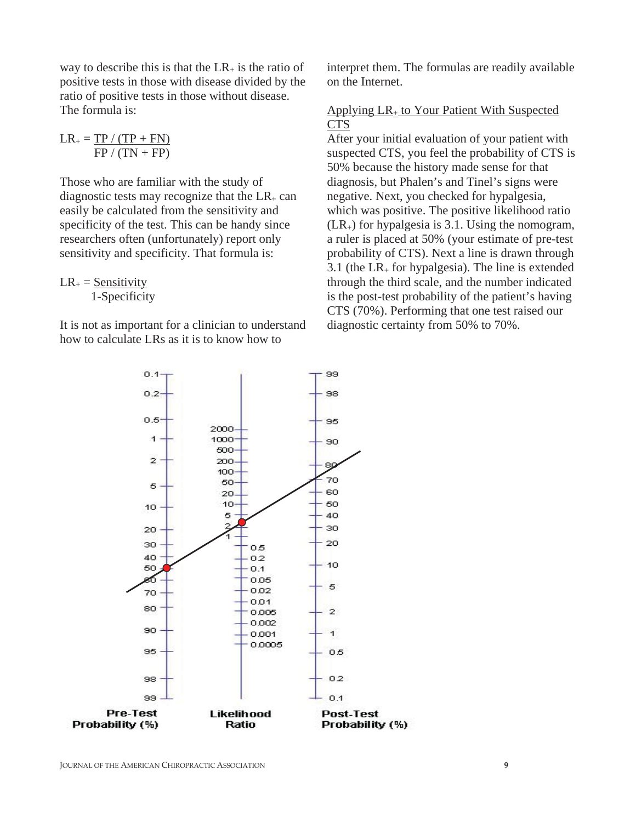way to describe this is that the  $LR_+$  is the ratio of positive tests in those with disease divided by the ratio of positive tests in those without disease. The formula is:

$$
LR_{+} = \frac{TP / (TP + FN)}{FP / (TN + FP)}
$$

Those who are familiar with the study of diagnostic tests may recognize that the  $LR_+$  can easily be calculated from the sensitivity and specificity of the test. This can be handy since researchers often (unfortunately) report only sensitivity and specificity. That formula is:

 $LR_+$  = Sensitivity 1-Specificity

It is not as important for a clinician to understand how to calculate LRs as it is to know how to

interpret them. The formulas are readily available on the Internet.

#### Applying LR+ to Your Patient With Suspected CTS

After your initial evaluation of your patient with suspected CTS, you feel the probability of CTS is 50% because the history made sense for that diagnosis, but Phalen's and Tinel's signs were negative. Next, you checked for hypalgesia, which was positive. The positive likelihood ratio  $(LR<sub>+</sub>)$  for hypalgesia is 3.1. Using the nomogram, a ruler is placed at 50% (your estimate of pre-test probability of CTS). Next a line is drawn through 3.1 (the  $LR_+$  for hypalgesia). The line is extended through the third scale, and the number indicated is the post-test probability of the patient's having CTS (70%). Performing that one test raised our diagnostic certainty from 50% to 70%.

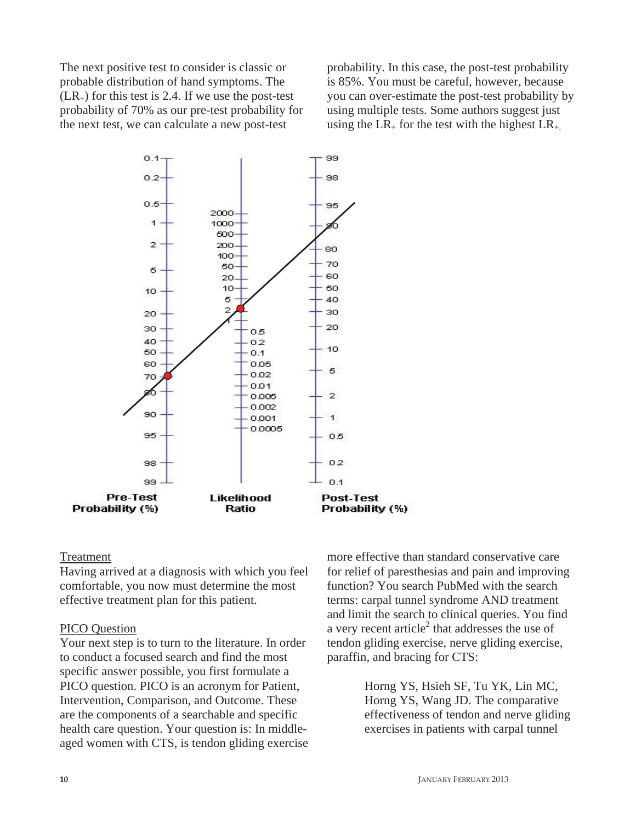The next positive test to consider is classic or probable distribution of hand symptoms. The  $(LR<sub>+</sub>)$  for this test is 2.4. If we use the post-test probability of 70% as our pre-test probability for the next test, we can calculate a new post-test

probability. In this case, the post-test probability is 85%. You must be careful, however, because you can over-estimate the post-test probability by using multiple tests. Some authors suggest just using the  $LR_{+}$  for the test with the highest  $LR_{+}$ .



#### Treatment

Having arrived at a diagnosis with which you feel comfortable, you now must determine the most effective treatment plan for this patient.

#### PICO Question

Your next step is to turn to the literature. In order to conduct a focused search and find the most specific answer possible, you first formulate a PICO question. PICO is an acronym for Patient, Intervention, Comparison, and Outcome. These are the components of a searchable and specific health care question. Your question is: In middleaged women with CTS, is tendon gliding exercise more effective than standard conservative care for relief of paresthesias and pain and improving function? You search PubMed with the search terms: carpal tunnel syndrome AND treatment and limit the search to clinical queries. You find a very recent article<sup>2</sup> that addresses the use of tendon gliding exercise, nerve gliding exercise, paraffin, and bracing for CTS:

> Horng YS, Hsieh SF, Tu YK, Lin MC, Horng YS, Wang JD. The comparative effectiveness of tendon and nerve gliding exercises in patients with carpal tunnel